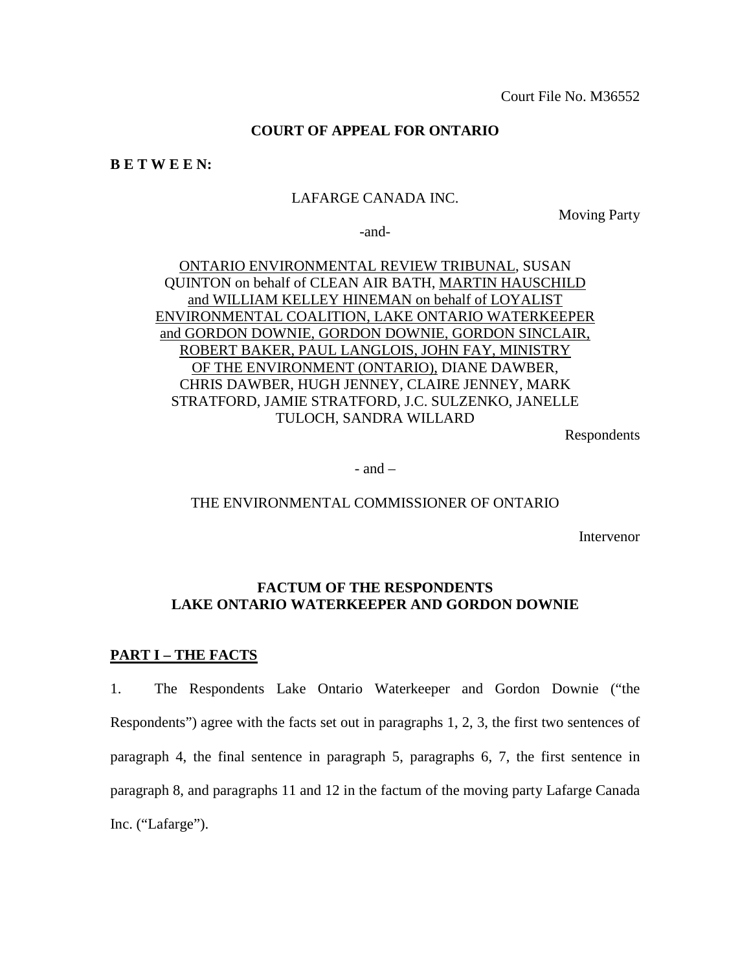Court File No. M36552

# **COURT OF APPEAL FOR ONTARIO**

**B E T W E E N:**

## LAFARGE CANADA INC.

Moving Party

-and-

ONTARIO ENVIRONMENTAL REVIEW TRIBUNAL, SUSAN QUINTON on behalf of CLEAN AIR BATH, MARTIN HAUSCHILD and WILLIAM KELLEY HINEMAN on behalf of LOYALIST ENVIRONMENTAL COALITION, LAKE ONTARIO WATERKEEPER and GORDON DOWNIE, GORDON DOWNIE, GORDON SINCLAIR, ROBERT BAKER, PAUL LANGLOIS, JOHN FAY, MINISTRY OF THE ENVIRONMENT (ONTARIO), DIANE DAWBER, CHRIS DAWBER, HUGH JENNEY, CLAIRE JENNEY, MARK STRATFORD, JAMIE STRATFORD, J.C. SULZENKO, JANELLE TULOCH, SANDRA WILLARD

Respondents

 $-$  and  $-$ 

#### THE ENVIRONMENTAL COMMISSIONER OF ONTARIO

Intervenor

# **FACTUM OF THE RESPONDENTS LAKE ONTARIO WATERKEEPER AND GORDON DOWNIE**

### **PART I – THE FACTS**

1. The Respondents Lake Ontario Waterkeeper and Gordon Downie ("the Respondents") agree with the facts set out in paragraphs 1, 2, 3, the first two sentences of paragraph 4, the final sentence in paragraph 5, paragraphs 6, 7, the first sentence in paragraph 8, and paragraphs 11 and 12 in the factum of the moving party Lafarge Canada Inc. ("Lafarge").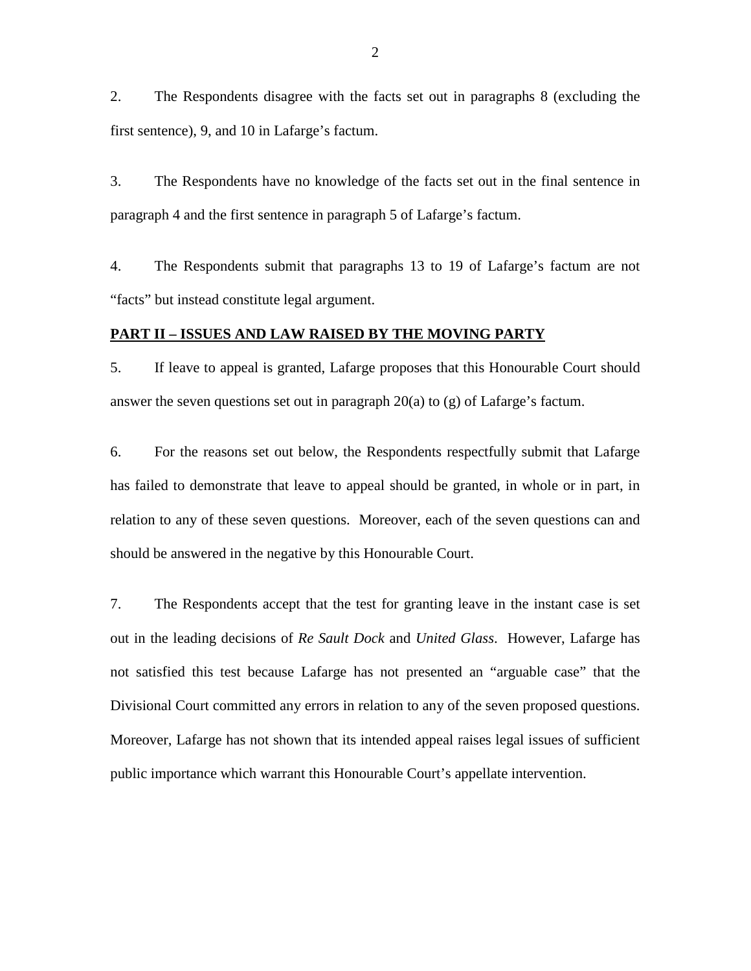2. The Respondents disagree with the facts set out in paragraphs 8 (excluding the first sentence), 9, and 10 in Lafarge's factum.

3. The Respondents have no knowledge of the facts set out in the final sentence in paragraph 4 and the first sentence in paragraph 5 of Lafarge's factum.

4. The Respondents submit that paragraphs 13 to 19 of Lafarge's factum are not "facts" but instead constitute legal argument.

### **PART II – ISSUES AND LAW RAISED BY THE MOVING PARTY**

5. If leave to appeal is granted, Lafarge proposes that this Honourable Court should answer the seven questions set out in paragraph 20(a) to (g) of Lafarge's factum.

6. For the reasons set out below, the Respondents respectfully submit that Lafarge has failed to demonstrate that leave to appeal should be granted, in whole or in part, in relation to any of these seven questions. Moreover, each of the seven questions can and should be answered in the negative by this Honourable Court.

7. The Respondents accept that the test for granting leave in the instant case is set out in the leading decisions of *Re Sault Dock* and *United Glass*. However, Lafarge has not satisfied this test because Lafarge has not presented an "arguable case" that the Divisional Court committed any errors in relation to any of the seven proposed questions. Moreover, Lafarge has not shown that its intended appeal raises legal issues of sufficient public importance which warrant this Honourable Court's appellate intervention.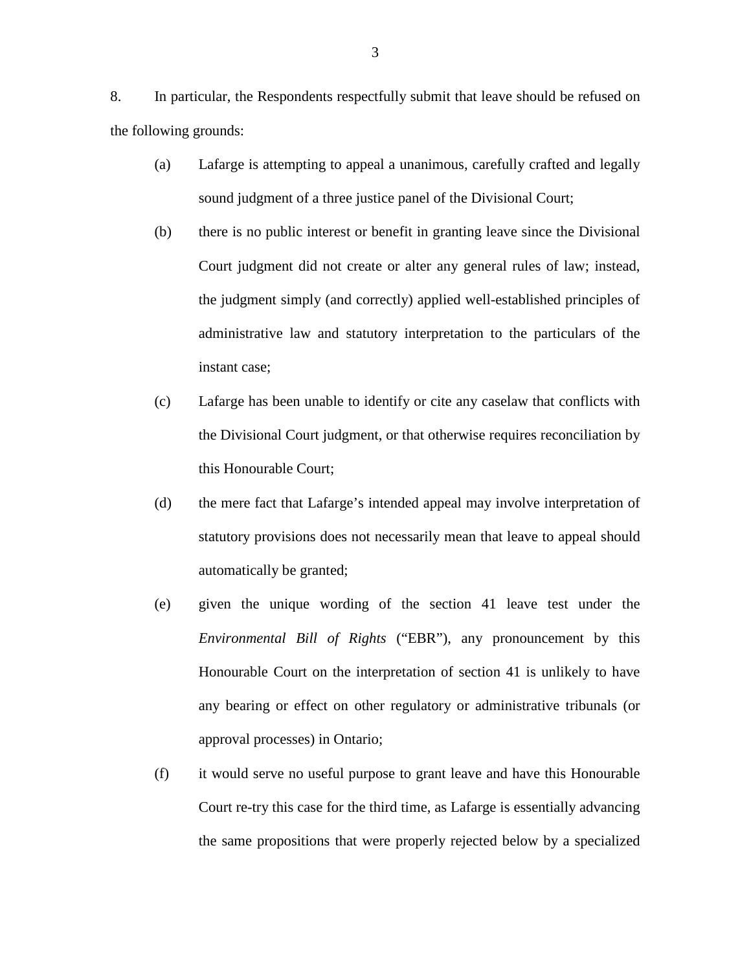8. In particular, the Respondents respectfully submit that leave should be refused on the following grounds:

- (a) Lafarge is attempting to appeal a unanimous, carefully crafted and legally sound judgment of a three justice panel of the Divisional Court;
- (b) there is no public interest or benefit in granting leave since the Divisional Court judgment did not create or alter any general rules of law; instead, the judgment simply (and correctly) applied well-established principles of administrative law and statutory interpretation to the particulars of the instant case;
- (c) Lafarge has been unable to identify or cite any caselaw that conflicts with the Divisional Court judgment, or that otherwise requires reconciliation by this Honourable Court;
- (d) the mere fact that Lafarge's intended appeal may involve interpretation of statutory provisions does not necessarily mean that leave to appeal should automatically be granted;
- (e) given the unique wording of the section 41 leave test under the *Environmental Bill of Rights* ("EBR"), any pronouncement by this Honourable Court on the interpretation of section 41 is unlikely to have any bearing or effect on other regulatory or administrative tribunals (or approval processes) in Ontario;
- (f) it would serve no useful purpose to grant leave and have this Honourable Court re-try this case for the third time, as Lafarge is essentially advancing the same propositions that were properly rejected below by a specialized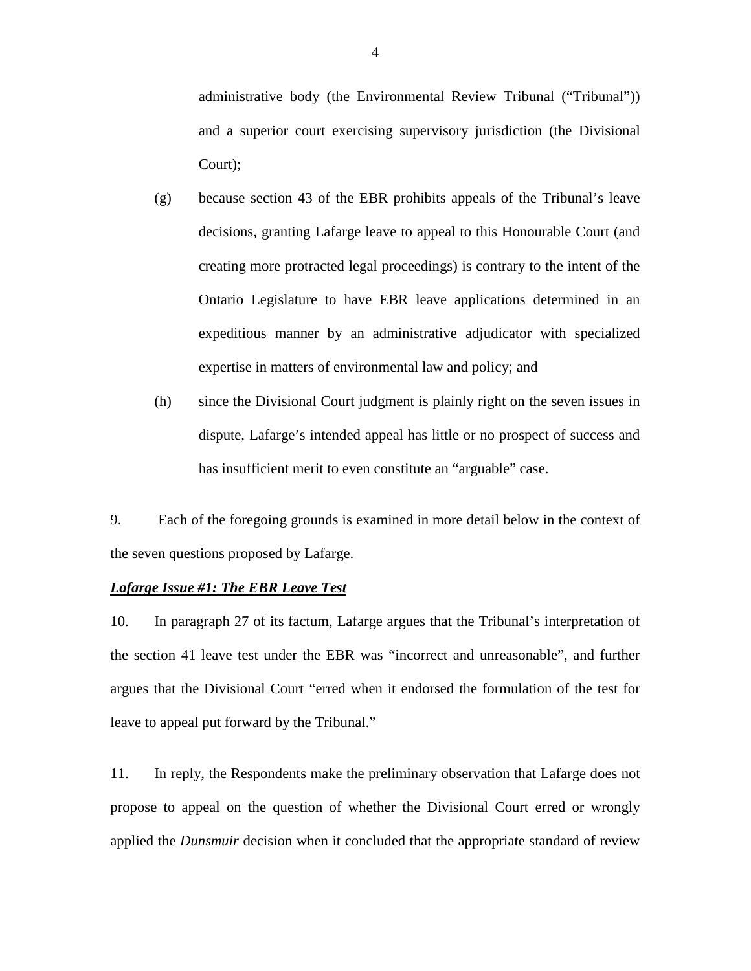administrative body (the Environmental Review Tribunal ("Tribunal")) and a superior court exercising supervisory jurisdiction (the Divisional Court);

- (g) because section 43 of the EBR prohibits appeals of the Tribunal's leave decisions, granting Lafarge leave to appeal to this Honourable Court (and creating more protracted legal proceedings) is contrary to the intent of the Ontario Legislature to have EBR leave applications determined in an expeditious manner by an administrative adjudicator with specialized expertise in matters of environmental law and policy; and
- (h) since the Divisional Court judgment is plainly right on the seven issues in dispute, Lafarge's intended appeal has little or no prospect of success and has insufficient merit to even constitute an "arguable" case.

9. Each of the foregoing grounds is examined in more detail below in the context of the seven questions proposed by Lafarge.

## *Lafarge Issue #1: The EBR Leave Test*

10. In paragraph 27 of its factum, Lafarge argues that the Tribunal's interpretation of the section 41 leave test under the EBR was "incorrect and unreasonable", and further argues that the Divisional Court "erred when it endorsed the formulation of the test for leave to appeal put forward by the Tribunal."

11. In reply, the Respondents make the preliminary observation that Lafarge does not propose to appeal on the question of whether the Divisional Court erred or wrongly applied the *Dunsmuir* decision when it concluded that the appropriate standard of review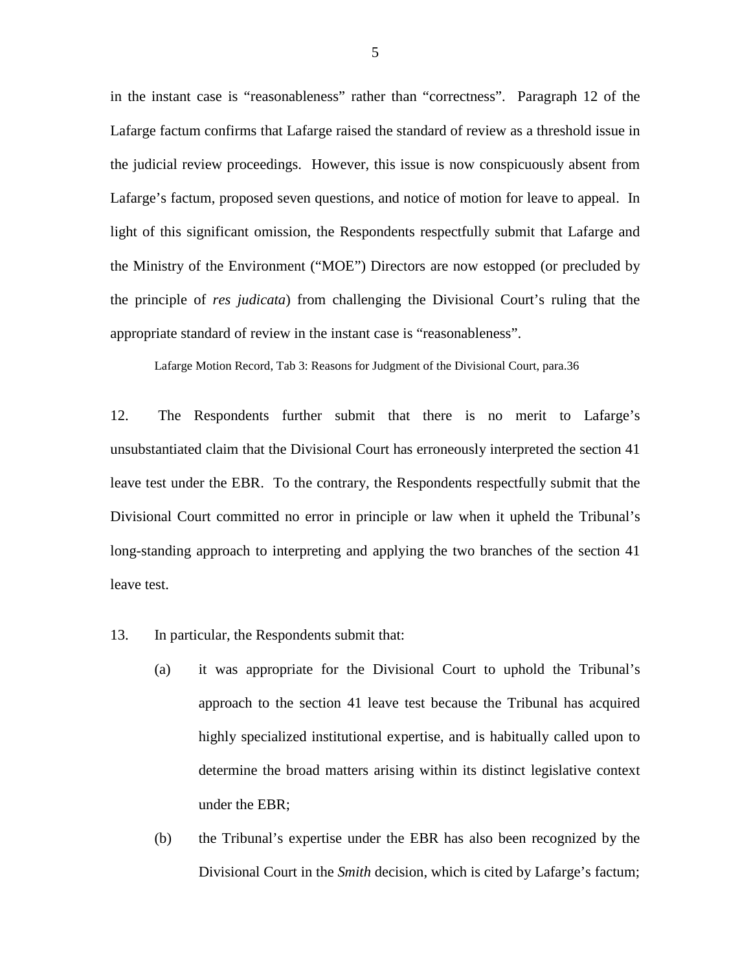in the instant case is "reasonableness" rather than "correctness". Paragraph 12 of the Lafarge factum confirms that Lafarge raised the standard of review as a threshold issue in the judicial review proceedings. However, this issue is now conspicuously absent from Lafarge's factum, proposed seven questions, and notice of motion for leave to appeal. In light of this significant omission, the Respondents respectfully submit that Lafarge and the Ministry of the Environment ("MOE") Directors are now estopped (or precluded by the principle of *res judicata*) from challenging the Divisional Court's ruling that the appropriate standard of review in the instant case is "reasonableness".

Lafarge Motion Record, Tab 3: Reasons for Judgment of the Divisional Court, para.36

12. The Respondents further submit that there is no merit to Lafarge's unsubstantiated claim that the Divisional Court has erroneously interpreted the section 41 leave test under the EBR. To the contrary, the Respondents respectfully submit that the Divisional Court committed no error in principle or law when it upheld the Tribunal's long-standing approach to interpreting and applying the two branches of the section 41 leave test.

- 13. In particular, the Respondents submit that:
	- (a) it was appropriate for the Divisional Court to uphold the Tribunal's approach to the section 41 leave test because the Tribunal has acquired highly specialized institutional expertise, and is habitually called upon to determine the broad matters arising within its distinct legislative context under the EBR;
	- (b) the Tribunal's expertise under the EBR has also been recognized by the Divisional Court in the *Smith* decision, which is cited by Lafarge's factum;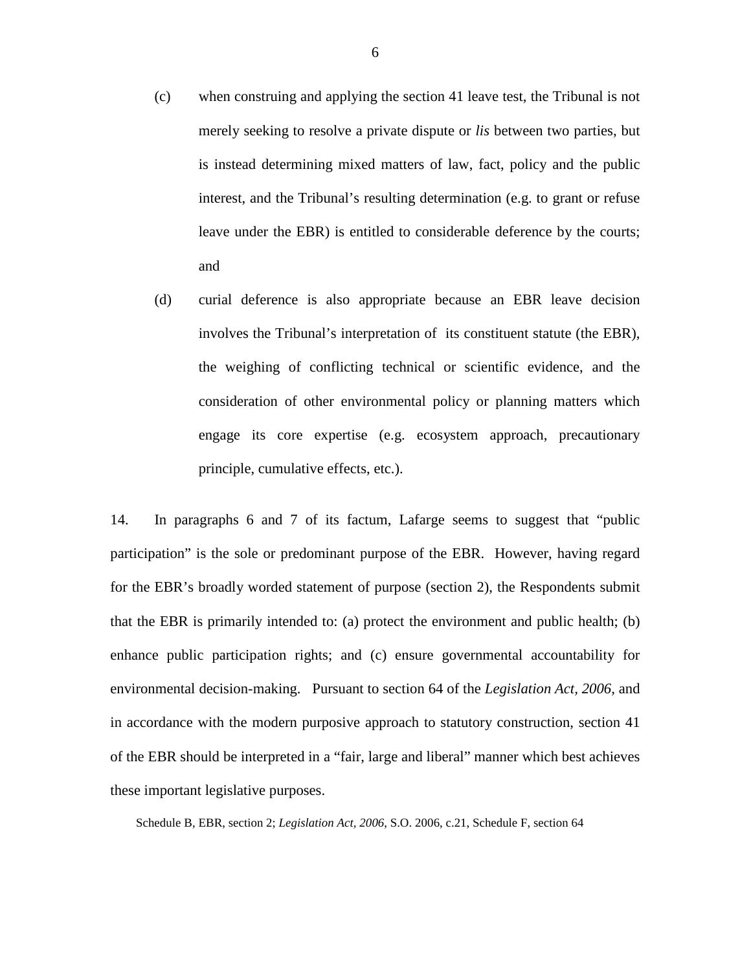- (c) when construing and applying the section 41 leave test, the Tribunal is not merely seeking to resolve a private dispute or *lis* between two parties, but is instead determining mixed matters of law, fact, policy and the public interest, and the Tribunal's resulting determination (e.g. to grant or refuse leave under the EBR) is entitled to considerable deference by the courts; and
- (d) curial deference is also appropriate because an EBR leave decision involves the Tribunal's interpretation of its constituent statute (the EBR), the weighing of conflicting technical or scientific evidence, and the consideration of other environmental policy or planning matters which engage its core expertise (e.g. ecosystem approach, precautionary principle, cumulative effects, etc.).

14. In paragraphs 6 and 7 of its factum, Lafarge seems to suggest that "public participation" is the sole or predominant purpose of the EBR. However, having regard for the EBR's broadly worded statement of purpose (section 2), the Respondents submit that the EBR is primarily intended to: (a) protect the environment and public health; (b) enhance public participation rights; and (c) ensure governmental accountability for environmental decision-making. Pursuant to section 64 of the *Legislation Act, 2006*, and in accordance with the modern purposive approach to statutory construction, section 41 of the EBR should be interpreted in a "fair, large and liberal" manner which best achieves these important legislative purposes.

Schedule B, EBR, section 2; *Legislation Act, 2006*, S.O. 2006, c.21, Schedule F, section 64

6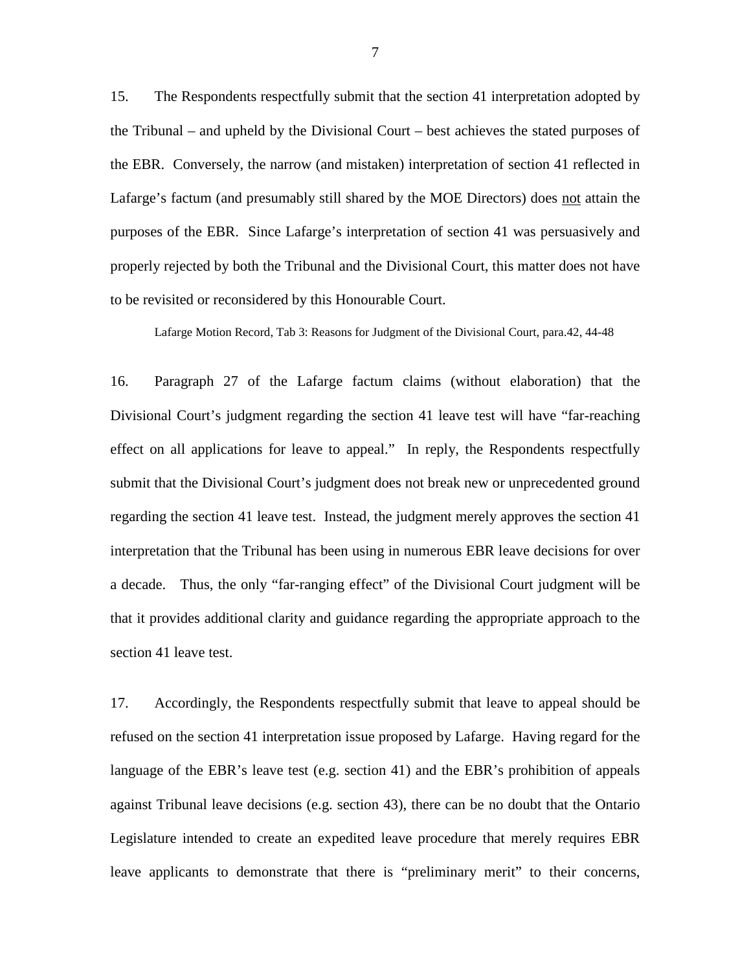15. The Respondents respectfully submit that the section 41 interpretation adopted by the Tribunal – and upheld by the Divisional Court – best achieves the stated purposes of the EBR. Conversely, the narrow (and mistaken) interpretation of section 41 reflected in Lafarge's factum (and presumably still shared by the MOE Directors) does not attain the purposes of the EBR. Since Lafarge's interpretation of section 41 was persuasively and properly rejected by both the Tribunal and the Divisional Court, this matter does not have to be revisited or reconsidered by this Honourable Court.

Lafarge Motion Record, Tab 3: Reasons for Judgment of the Divisional Court, para.42, 44-48

16. Paragraph 27 of the Lafarge factum claims (without elaboration) that the Divisional Court's judgment regarding the section 41 leave test will have "far-reaching effect on all applications for leave to appeal." In reply, the Respondents respectfully submit that the Divisional Court's judgment does not break new or unprecedented ground regarding the section 41 leave test. Instead, the judgment merely approves the section 41 interpretation that the Tribunal has been using in numerous EBR leave decisions for over a decade. Thus, the only "far-ranging effect" of the Divisional Court judgment will be that it provides additional clarity and guidance regarding the appropriate approach to the section 41 leave test.

17. Accordingly, the Respondents respectfully submit that leave to appeal should be refused on the section 41 interpretation issue proposed by Lafarge. Having regard for the language of the EBR's leave test (e.g. section 41) and the EBR's prohibition of appeals against Tribunal leave decisions (e.g. section 43), there can be no doubt that the Ontario Legislature intended to create an expedited leave procedure that merely requires EBR leave applicants to demonstrate that there is "preliminary merit" to their concerns,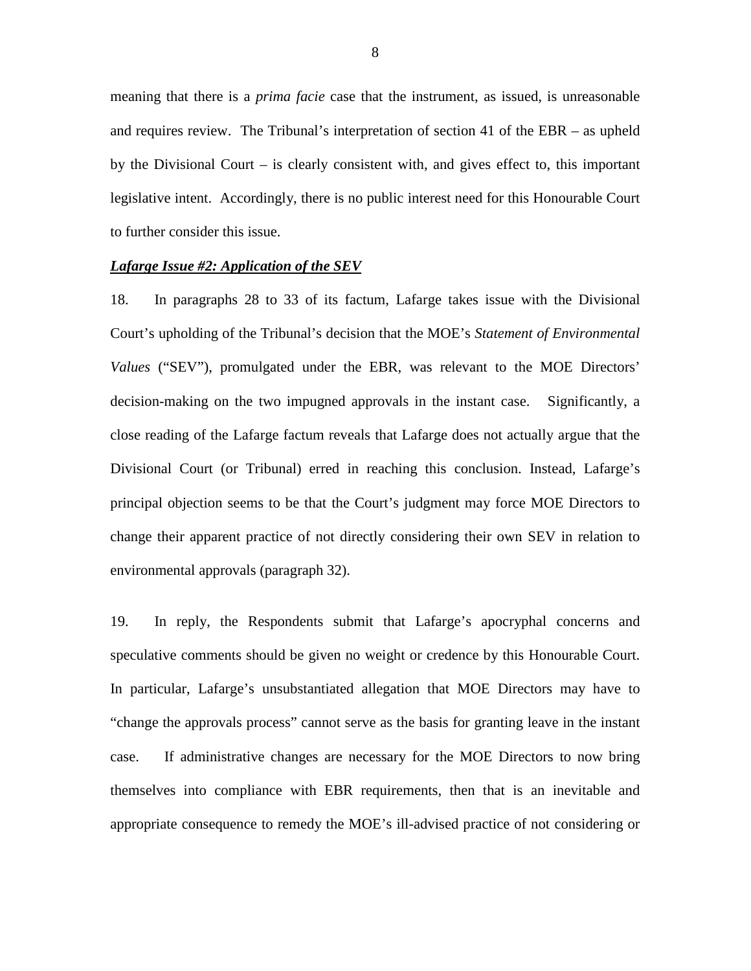meaning that there is a *prima facie* case that the instrument, as issued, is unreasonable and requires review. The Tribunal's interpretation of section 41 of the EBR – as upheld by the Divisional Court – is clearly consistent with, and gives effect to, this important legislative intent. Accordingly, there is no public interest need for this Honourable Court to further consider this issue.

#### *Lafarge Issue #2: Application of the SEV*

18. In paragraphs 28 to 33 of its factum, Lafarge takes issue with the Divisional Court's upholding of the Tribunal's decision that the MOE's *Statement of Environmental Values* ("SEV"), promulgated under the EBR, was relevant to the MOE Directors' decision-making on the two impugned approvals in the instant case. Significantly, a close reading of the Lafarge factum reveals that Lafarge does not actually argue that the Divisional Court (or Tribunal) erred in reaching this conclusion. Instead, Lafarge's principal objection seems to be that the Court's judgment may force MOE Directors to change their apparent practice of not directly considering their own SEV in relation to environmental approvals (paragraph 32).

19. In reply, the Respondents submit that Lafarge's apocryphal concerns and speculative comments should be given no weight or credence by this Honourable Court. In particular, Lafarge's unsubstantiated allegation that MOE Directors may have to "change the approvals process" cannot serve as the basis for granting leave in the instant case. If administrative changes are necessary for the MOE Directors to now bring themselves into compliance with EBR requirements, then that is an inevitable and appropriate consequence to remedy the MOE's ill-advised practice of not considering or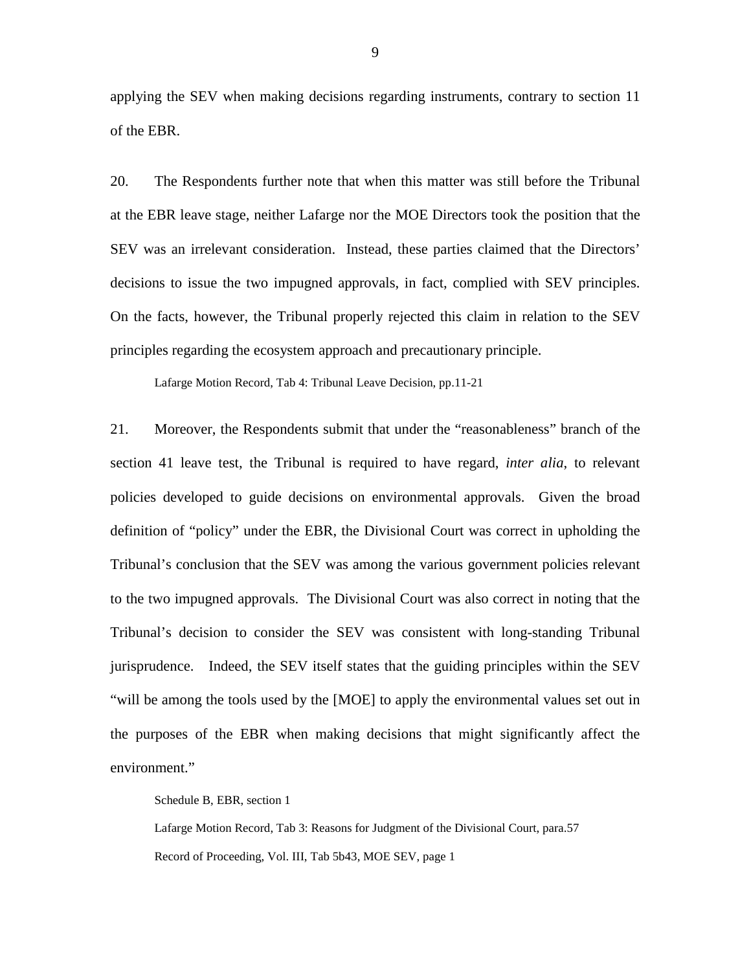applying the SEV when making decisions regarding instruments, contrary to section 11 of the EBR.

20. The Respondents further note that when this matter was still before the Tribunal at the EBR leave stage, neither Lafarge nor the MOE Directors took the position that the SEV was an irrelevant consideration. Instead, these parties claimed that the Directors' decisions to issue the two impugned approvals, in fact, complied with SEV principles. On the facts, however, the Tribunal properly rejected this claim in relation to the SEV principles regarding the ecosystem approach and precautionary principle.

Lafarge Motion Record, Tab 4: Tribunal Leave Decision, pp.11-21

21. Moreover, the Respondents submit that under the "reasonableness" branch of the section 41 leave test, the Tribunal is required to have regard, *inter alia*, to relevant policies developed to guide decisions on environmental approvals. Given the broad definition of "policy" under the EBR, the Divisional Court was correct in upholding the Tribunal's conclusion that the SEV was among the various government policies relevant to the two impugned approvals. The Divisional Court was also correct in noting that the Tribunal's decision to consider the SEV was consistent with long-standing Tribunal jurisprudence. Indeed, the SEV itself states that the guiding principles within the SEV "will be among the tools used by the [MOE] to apply the environmental values set out in the purposes of the EBR when making decisions that might significantly affect the environment."

Schedule B, EBR, section 1

Lafarge Motion Record, Tab 3: Reasons for Judgment of the Divisional Court, para.57 Record of Proceeding, Vol. III, Tab 5b43, MOE SEV, page 1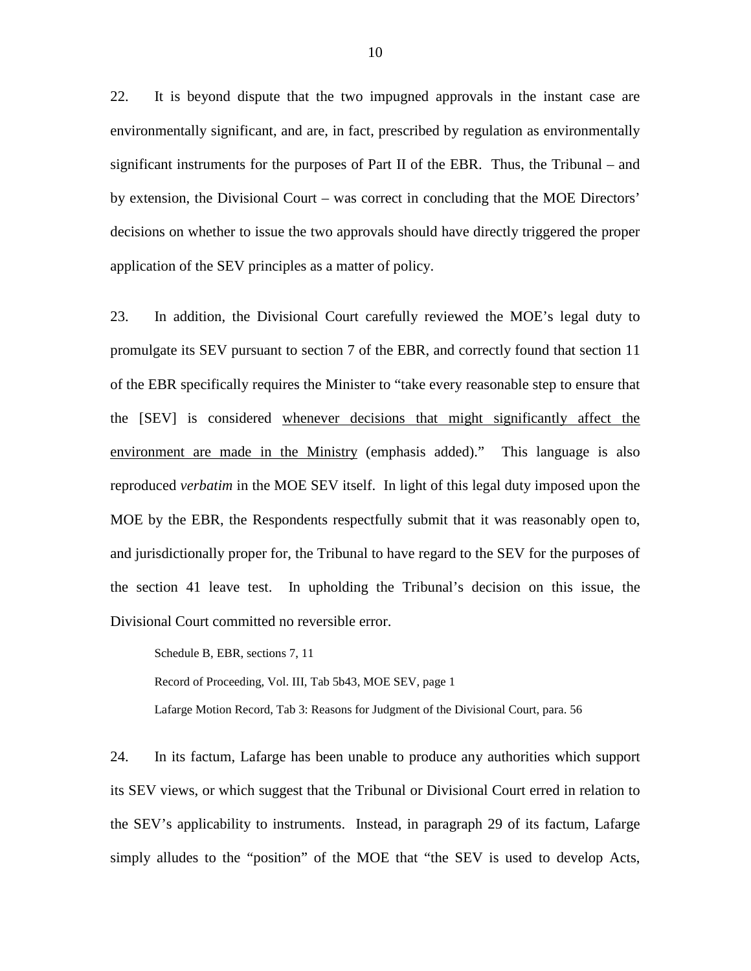22. It is beyond dispute that the two impugned approvals in the instant case are environmentally significant, and are, in fact, prescribed by regulation as environmentally significant instruments for the purposes of Part II of the EBR. Thus, the Tribunal – and by extension, the Divisional Court – was correct in concluding that the MOE Directors' decisions on whether to issue the two approvals should have directly triggered the proper application of the SEV principles as a matter of policy.

23. In addition, the Divisional Court carefully reviewed the MOE's legal duty to promulgate its SEV pursuant to section 7 of the EBR, and correctly found that section 11 of the EBR specifically requires the Minister to "take every reasonable step to ensure that the [SEV] is considered whenever decisions that might significantly affect the environment are made in the Ministry (emphasis added)." This language is also reproduced *verbatim* in the MOE SEV itself. In light of this legal duty imposed upon the MOE by the EBR, the Respondents respectfully submit that it was reasonably open to, and jurisdictionally proper for, the Tribunal to have regard to the SEV for the purposes of the section 41 leave test. In upholding the Tribunal's decision on this issue, the Divisional Court committed no reversible error.

Schedule B, EBR, sections 7, 11 Record of Proceeding, Vol. III, Tab 5b43, MOE SEV, page 1 Lafarge Motion Record, Tab 3: Reasons for Judgment of the Divisional Court, para. 56

24. In its factum, Lafarge has been unable to produce any authorities which support its SEV views, or which suggest that the Tribunal or Divisional Court erred in relation to the SEV's applicability to instruments. Instead, in paragraph 29 of its factum, Lafarge simply alludes to the "position" of the MOE that "the SEV is used to develop Acts,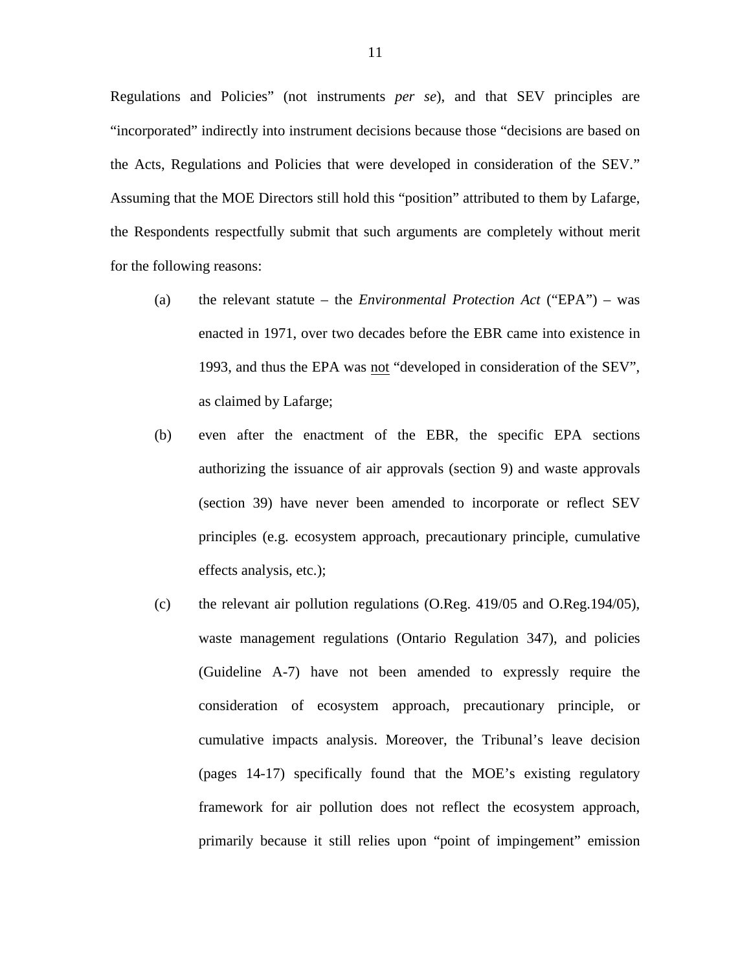Regulations and Policies" (not instruments *per se*), and that SEV principles are "incorporated" indirectly into instrument decisions because those "decisions are based on the Acts, Regulations and Policies that were developed in consideration of the SEV." Assuming that the MOE Directors still hold this "position" attributed to them by Lafarge, the Respondents respectfully submit that such arguments are completely without merit for the following reasons:

- (a) the relevant statute the *Environmental Protection Act* ("EPA") was enacted in 1971, over two decades before the EBR came into existence in 1993, and thus the EPA was not "developed in consideration of the SEV", as claimed by Lafarge;
- (b) even after the enactment of the EBR, the specific EPA sections authorizing the issuance of air approvals (section 9) and waste approvals (section 39) have never been amended to incorporate or reflect SEV principles (e.g. ecosystem approach, precautionary principle, cumulative effects analysis, etc.);
- (c) the relevant air pollution regulations (O.Reg. 419/05 and O.Reg.194/05), waste management regulations (Ontario Regulation 347), and policies (Guideline A-7) have not been amended to expressly require the consideration of ecosystem approach, precautionary principle, or cumulative impacts analysis. Moreover, the Tribunal's leave decision (pages 14-17) specifically found that the MOE's existing regulatory framework for air pollution does not reflect the ecosystem approach, primarily because it still relies upon "point of impingement" emission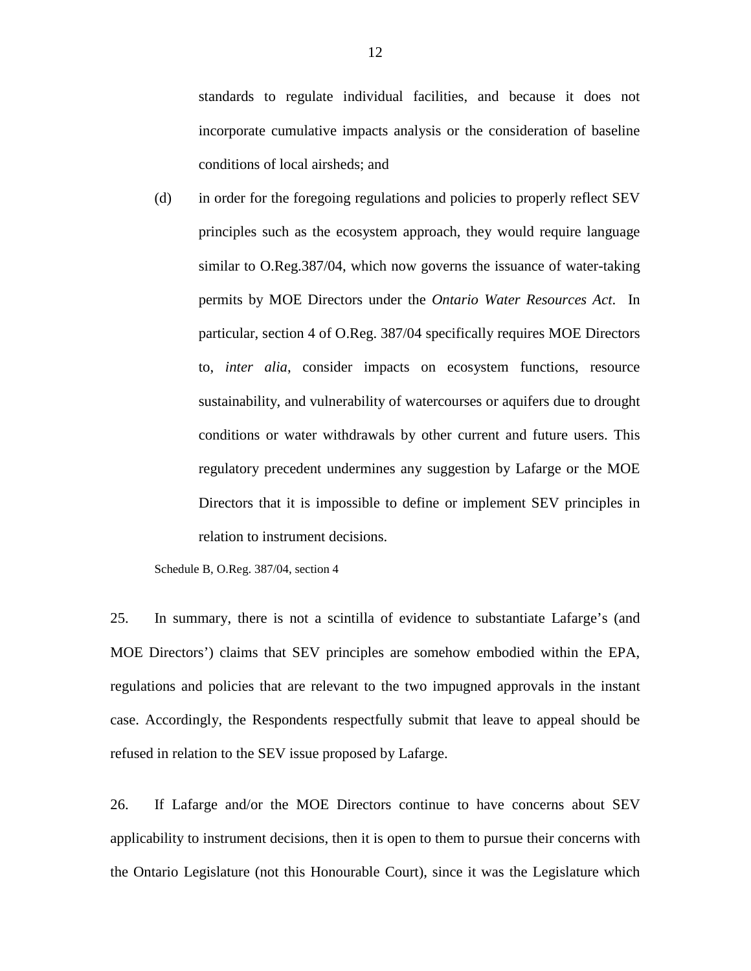standards to regulate individual facilities, and because it does not incorporate cumulative impacts analysis or the consideration of baseline conditions of local airsheds; and

(d) in order for the foregoing regulations and policies to properly reflect SEV principles such as the ecosystem approach, they would require language similar to O.Reg.387/04, which now governs the issuance of water-taking permits by MOE Directors under the *Ontario Water Resources Act*. In particular, section 4 of O.Reg. 387/04 specifically requires MOE Directors to, *inter alia*, consider impacts on ecosystem functions, resource sustainability, and vulnerability of watercourses or aquifers due to drought conditions or water withdrawals by other current and future users. This regulatory precedent undermines any suggestion by Lafarge or the MOE Directors that it is impossible to define or implement SEV principles in relation to instrument decisions.

Schedule B, O.Reg. 387/04, section 4

25. In summary, there is not a scintilla of evidence to substantiate Lafarge's (and MOE Directors') claims that SEV principles are somehow embodied within the EPA, regulations and policies that are relevant to the two impugned approvals in the instant case. Accordingly, the Respondents respectfully submit that leave to appeal should be refused in relation to the SEV issue proposed by Lafarge.

26. If Lafarge and/or the MOE Directors continue to have concerns about SEV applicability to instrument decisions, then it is open to them to pursue their concerns with the Ontario Legislature (not this Honourable Court), since it was the Legislature which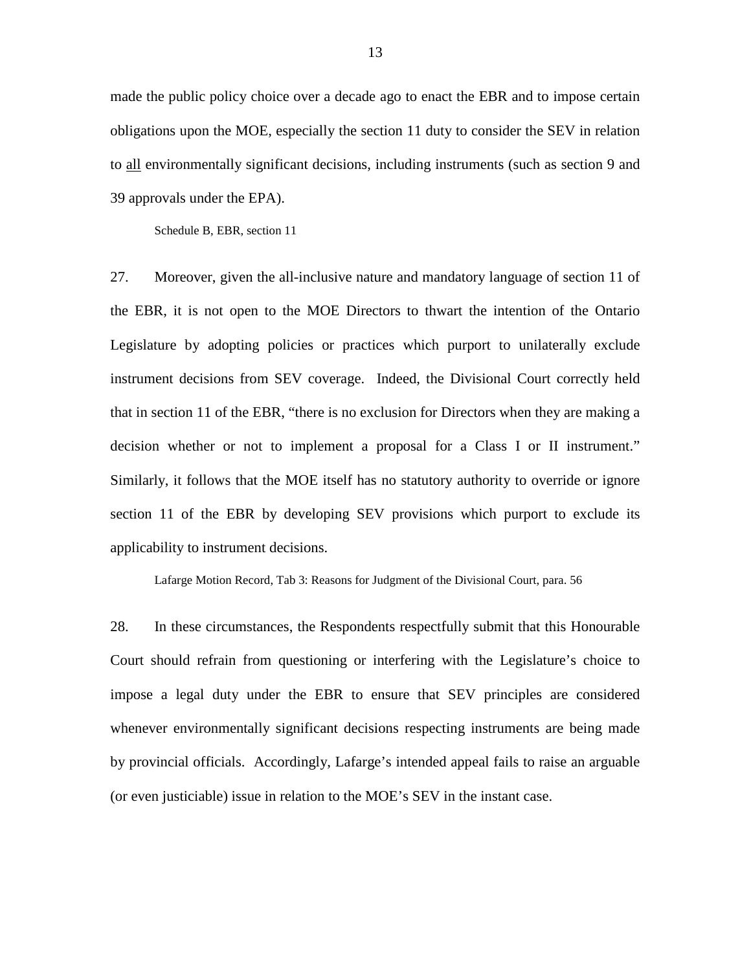made the public policy choice over a decade ago to enact the EBR and to impose certain obligations upon the MOE, especially the section 11 duty to consider the SEV in relation to all environmentally significant decisions, including instruments (such as section 9 and 39 approvals under the EPA).

Schedule B, EBR, section 11

27. Moreover, given the all-inclusive nature and mandatory language of section 11 of the EBR, it is not open to the MOE Directors to thwart the intention of the Ontario Legislature by adopting policies or practices which purport to unilaterally exclude instrument decisions from SEV coverage. Indeed, the Divisional Court correctly held that in section 11 of the EBR, "there is no exclusion for Directors when they are making a decision whether or not to implement a proposal for a Class I or II instrument." Similarly, it follows that the MOE itself has no statutory authority to override or ignore section 11 of the EBR by developing SEV provisions which purport to exclude its applicability to instrument decisions.

Lafarge Motion Record, Tab 3: Reasons for Judgment of the Divisional Court, para. 56

28. In these circumstances, the Respondents respectfully submit that this Honourable Court should refrain from questioning or interfering with the Legislature's choice to impose a legal duty under the EBR to ensure that SEV principles are considered whenever environmentally significant decisions respecting instruments are being made by provincial officials. Accordingly, Lafarge's intended appeal fails to raise an arguable (or even justiciable) issue in relation to the MOE's SEV in the instant case.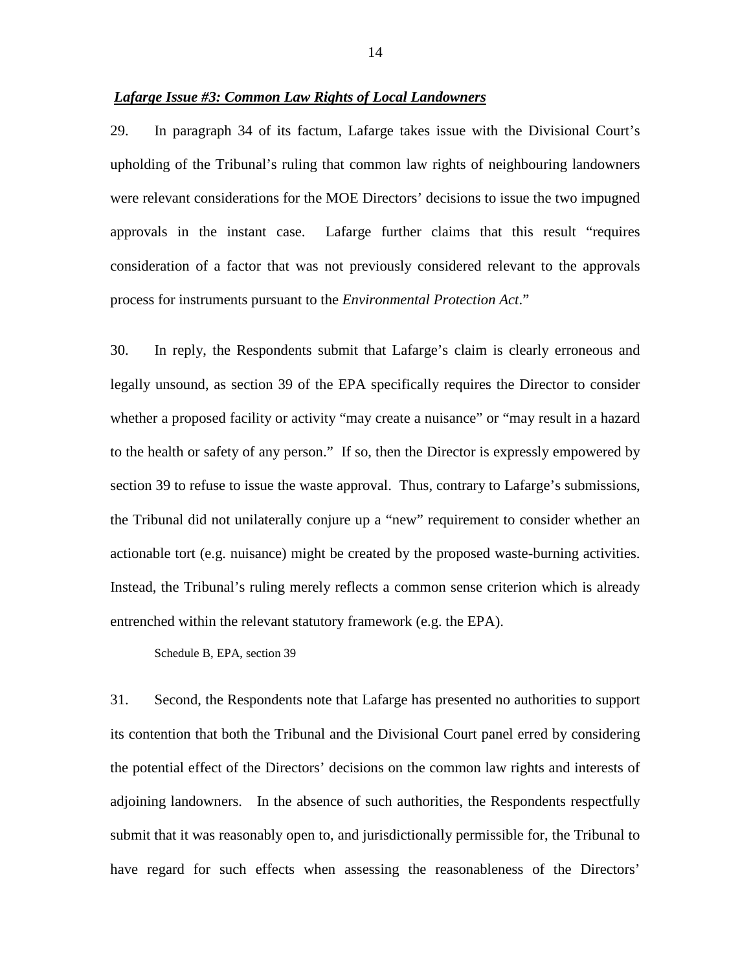## *Lafarge Issue #3: Common Law Rights of Local Landowners*

29. In paragraph 34 of its factum, Lafarge takes issue with the Divisional Court's upholding of the Tribunal's ruling that common law rights of neighbouring landowners were relevant considerations for the MOE Directors' decisions to issue the two impugned approvals in the instant case. Lafarge further claims that this result "requires consideration of a factor that was not previously considered relevant to the approvals process for instruments pursuant to the *Environmental Protection Act*."

30. In reply, the Respondents submit that Lafarge's claim is clearly erroneous and legally unsound, as section 39 of the EPA specifically requires the Director to consider whether a proposed facility or activity "may create a nuisance" or "may result in a hazard to the health or safety of any person." If so, then the Director is expressly empowered by section 39 to refuse to issue the waste approval. Thus, contrary to Lafarge's submissions, the Tribunal did not unilaterally conjure up a "new" requirement to consider whether an actionable tort (e.g. nuisance) might be created by the proposed waste-burning activities. Instead, the Tribunal's ruling merely reflects a common sense criterion which is already entrenched within the relevant statutory framework (e.g. the EPA).

Schedule B, EPA, section 39

31. Second, the Respondents note that Lafarge has presented no authorities to support its contention that both the Tribunal and the Divisional Court panel erred by considering the potential effect of the Directors' decisions on the common law rights and interests of adjoining landowners. In the absence of such authorities, the Respondents respectfully submit that it was reasonably open to, and jurisdictionally permissible for, the Tribunal to have regard for such effects when assessing the reasonableness of the Directors'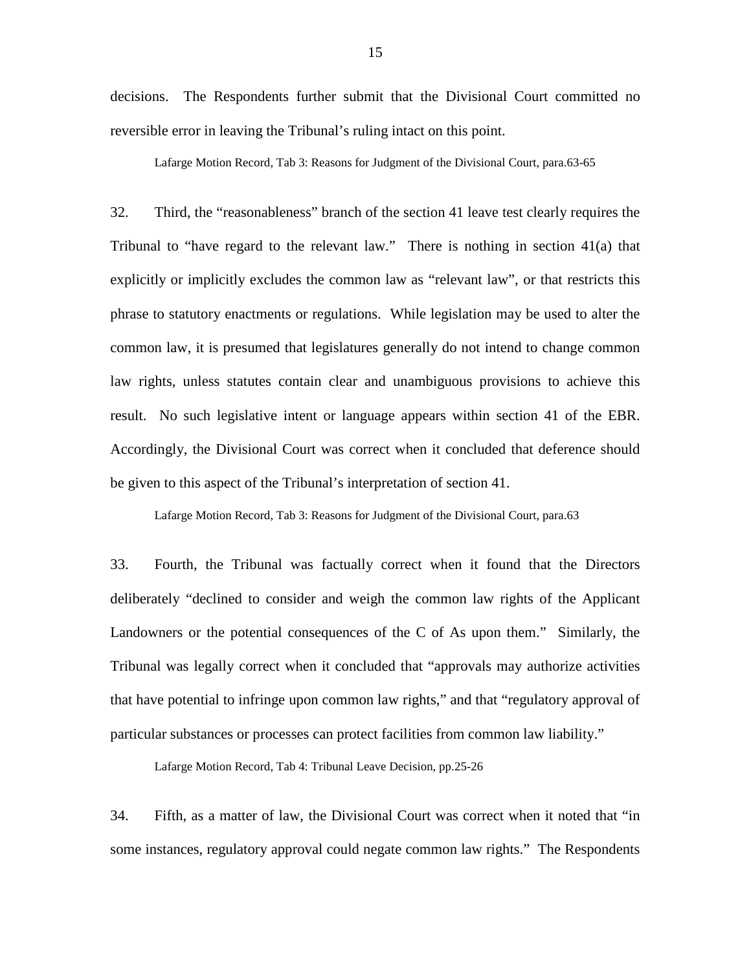decisions. The Respondents further submit that the Divisional Court committed no reversible error in leaving the Tribunal's ruling intact on this point.

Lafarge Motion Record, Tab 3: Reasons for Judgment of the Divisional Court, para.63-65

32. Third, the "reasonableness" branch of the section 41 leave test clearly requires the Tribunal to "have regard to the relevant law." There is nothing in section 41(a) that explicitly or implicitly excludes the common law as "relevant law", or that restricts this phrase to statutory enactments or regulations. While legislation may be used to alter the common law, it is presumed that legislatures generally do not intend to change common law rights, unless statutes contain clear and unambiguous provisions to achieve this result. No such legislative intent or language appears within section 41 of the EBR. Accordingly, the Divisional Court was correct when it concluded that deference should be given to this aspect of the Tribunal's interpretation of section 41.

Lafarge Motion Record, Tab 3: Reasons for Judgment of the Divisional Court, para.63

33. Fourth, the Tribunal was factually correct when it found that the Directors deliberately "declined to consider and weigh the common law rights of the Applicant Landowners or the potential consequences of the C of As upon them." Similarly, the Tribunal was legally correct when it concluded that "approvals may authorize activities that have potential to infringe upon common law rights," and that "regulatory approval of particular substances or processes can protect facilities from common law liability."

Lafarge Motion Record, Tab 4: Tribunal Leave Decision, pp.25-26

34. Fifth, as a matter of law, the Divisional Court was correct when it noted that "in some instances, regulatory approval could negate common law rights." The Respondents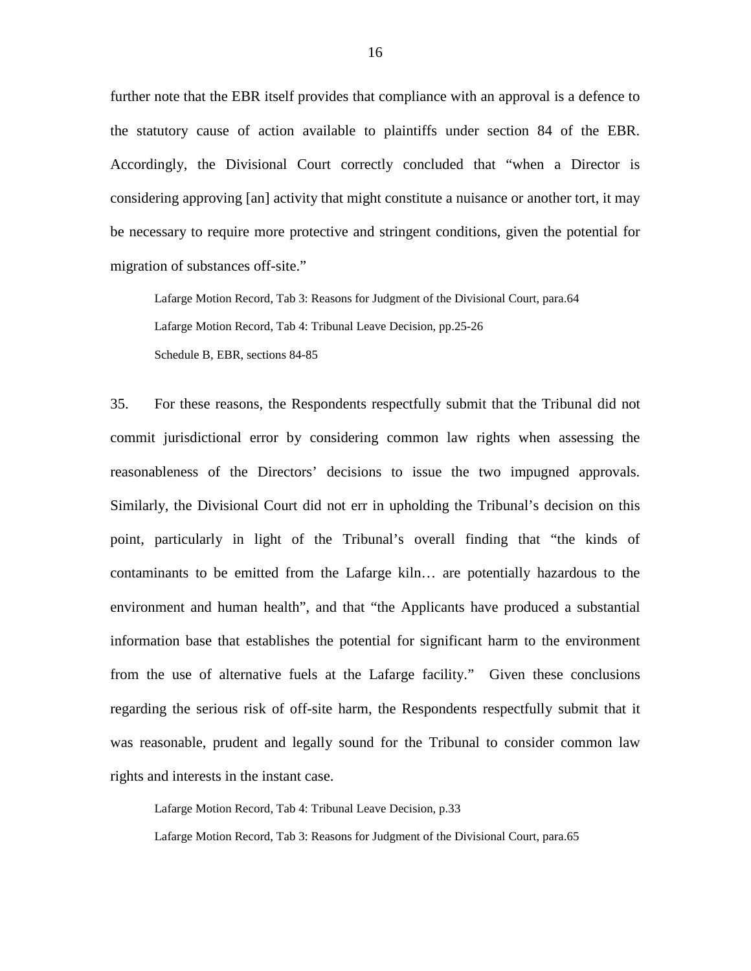further note that the EBR itself provides that compliance with an approval is a defence to the statutory cause of action available to plaintiffs under section 84 of the EBR. Accordingly, the Divisional Court correctly concluded that "when a Director is considering approving [an] activity that might constitute a nuisance or another tort, it may be necessary to require more protective and stringent conditions, given the potential for migration of substances off-site."

Lafarge Motion Record, Tab 3: Reasons for Judgment of the Divisional Court, para.64 Lafarge Motion Record, Tab 4: Tribunal Leave Decision, pp.25-26 Schedule B, EBR, sections 84-85

35. For these reasons, the Respondents respectfully submit that the Tribunal did not commit jurisdictional error by considering common law rights when assessing the reasonableness of the Directors' decisions to issue the two impugned approvals. Similarly, the Divisional Court did not err in upholding the Tribunal's decision on this point, particularly in light of the Tribunal's overall finding that "the kinds of contaminants to be emitted from the Lafarge kiln… are potentially hazardous to the environment and human health", and that "the Applicants have produced a substantial information base that establishes the potential for significant harm to the environment from the use of alternative fuels at the Lafarge facility." Given these conclusions regarding the serious risk of off-site harm, the Respondents respectfully submit that it was reasonable, prudent and legally sound for the Tribunal to consider common law rights and interests in the instant case.

Lafarge Motion Record, Tab 4: Tribunal Leave Decision, p.33

Lafarge Motion Record, Tab 3: Reasons for Judgment of the Divisional Court, para.65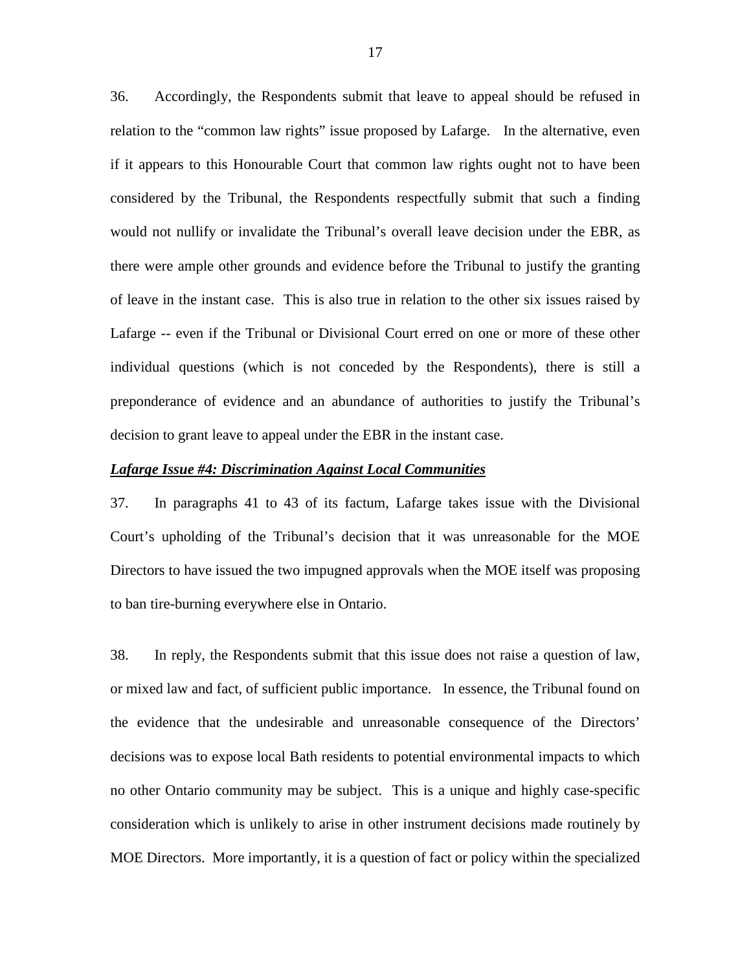36. Accordingly, the Respondents submit that leave to appeal should be refused in relation to the "common law rights" issue proposed by Lafarge. In the alternative, even if it appears to this Honourable Court that common law rights ought not to have been considered by the Tribunal, the Respondents respectfully submit that such a finding would not nullify or invalidate the Tribunal's overall leave decision under the EBR, as there were ample other grounds and evidence before the Tribunal to justify the granting of leave in the instant case. This is also true in relation to the other six issues raised by Lafarge -- even if the Tribunal or Divisional Court erred on one or more of these other individual questions (which is not conceded by the Respondents), there is still a preponderance of evidence and an abundance of authorities to justify the Tribunal's decision to grant leave to appeal under the EBR in the instant case.

### *Lafarge Issue #4: Discrimination Against Local Communities*

37. In paragraphs 41 to 43 of its factum, Lafarge takes issue with the Divisional Court's upholding of the Tribunal's decision that it was unreasonable for the MOE Directors to have issued the two impugned approvals when the MOE itself was proposing to ban tire-burning everywhere else in Ontario.

38. In reply, the Respondents submit that this issue does not raise a question of law, or mixed law and fact, of sufficient public importance. In essence, the Tribunal found on the evidence that the undesirable and unreasonable consequence of the Directors' decisions was to expose local Bath residents to potential environmental impacts to which no other Ontario community may be subject. This is a unique and highly case-specific consideration which is unlikely to arise in other instrument decisions made routinely by MOE Directors. More importantly, it is a question of fact or policy within the specialized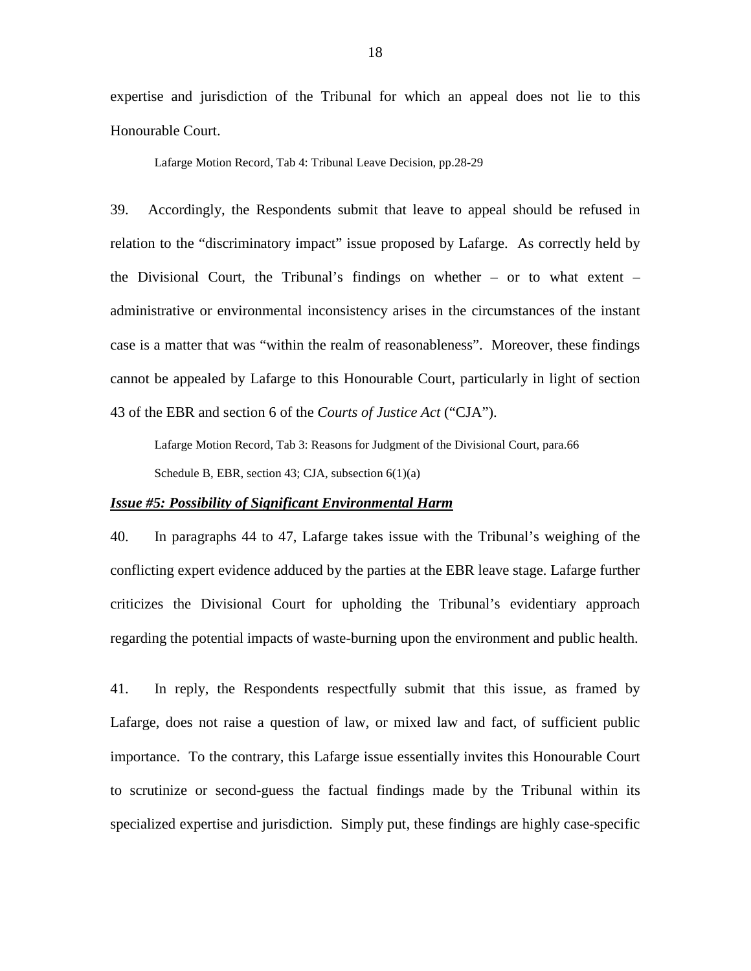expertise and jurisdiction of the Tribunal for which an appeal does not lie to this Honourable Court.

Lafarge Motion Record, Tab 4: Tribunal Leave Decision, pp.28-29

39. Accordingly, the Respondents submit that leave to appeal should be refused in relation to the "discriminatory impact" issue proposed by Lafarge. As correctly held by the Divisional Court, the Tribunal's findings on whether  $-$  or to what extent  $$ administrative or environmental inconsistency arises in the circumstances of the instant case is a matter that was "within the realm of reasonableness". Moreover, these findings cannot be appealed by Lafarge to this Honourable Court, particularly in light of section 43 of the EBR and section 6 of the *Courts of Justice Act* ("CJA").

Lafarge Motion Record, Tab 3: Reasons for Judgment of the Divisional Court, para.66 Schedule B, EBR, section 43; CJA, subsection 6(1)(a)

#### *Issue #5: Possibility of Significant Environmental Harm*

40. In paragraphs 44 to 47, Lafarge takes issue with the Tribunal's weighing of the conflicting expert evidence adduced by the parties at the EBR leave stage. Lafarge further criticizes the Divisional Court for upholding the Tribunal's evidentiary approach regarding the potential impacts of waste-burning upon the environment and public health.

41. In reply, the Respondents respectfully submit that this issue, as framed by Lafarge, does not raise a question of law, or mixed law and fact, of sufficient public importance. To the contrary, this Lafarge issue essentially invites this Honourable Court to scrutinize or second-guess the factual findings made by the Tribunal within its specialized expertise and jurisdiction. Simply put, these findings are highly case-specific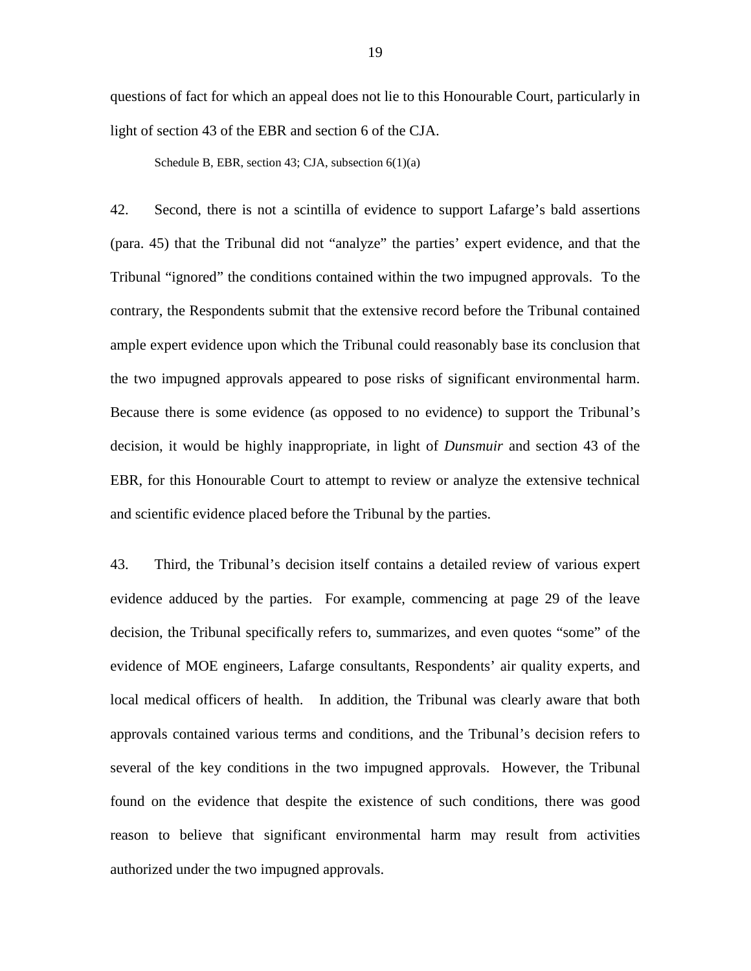questions of fact for which an appeal does not lie to this Honourable Court, particularly in light of section 43 of the EBR and section 6 of the CJA.

Schedule B, EBR, section 43; CJA, subsection 6(1)(a)

42. Second, there is not a scintilla of evidence to support Lafarge's bald assertions (para. 45) that the Tribunal did not "analyze" the parties' expert evidence, and that the Tribunal "ignored" the conditions contained within the two impugned approvals. To the contrary, the Respondents submit that the extensive record before the Tribunal contained ample expert evidence upon which the Tribunal could reasonably base its conclusion that the two impugned approvals appeared to pose risks of significant environmental harm. Because there is some evidence (as opposed to no evidence) to support the Tribunal's decision, it would be highly inappropriate, in light of *Dunsmuir* and section 43 of the EBR, for this Honourable Court to attempt to review or analyze the extensive technical and scientific evidence placed before the Tribunal by the parties.

43. Third, the Tribunal's decision itself contains a detailed review of various expert evidence adduced by the parties. For example, commencing at page 29 of the leave decision, the Tribunal specifically refers to, summarizes, and even quotes "some" of the evidence of MOE engineers, Lafarge consultants, Respondents' air quality experts, and local medical officers of health. In addition, the Tribunal was clearly aware that both approvals contained various terms and conditions, and the Tribunal's decision refers to several of the key conditions in the two impugned approvals. However, the Tribunal found on the evidence that despite the existence of such conditions, there was good reason to believe that significant environmental harm may result from activities authorized under the two impugned approvals.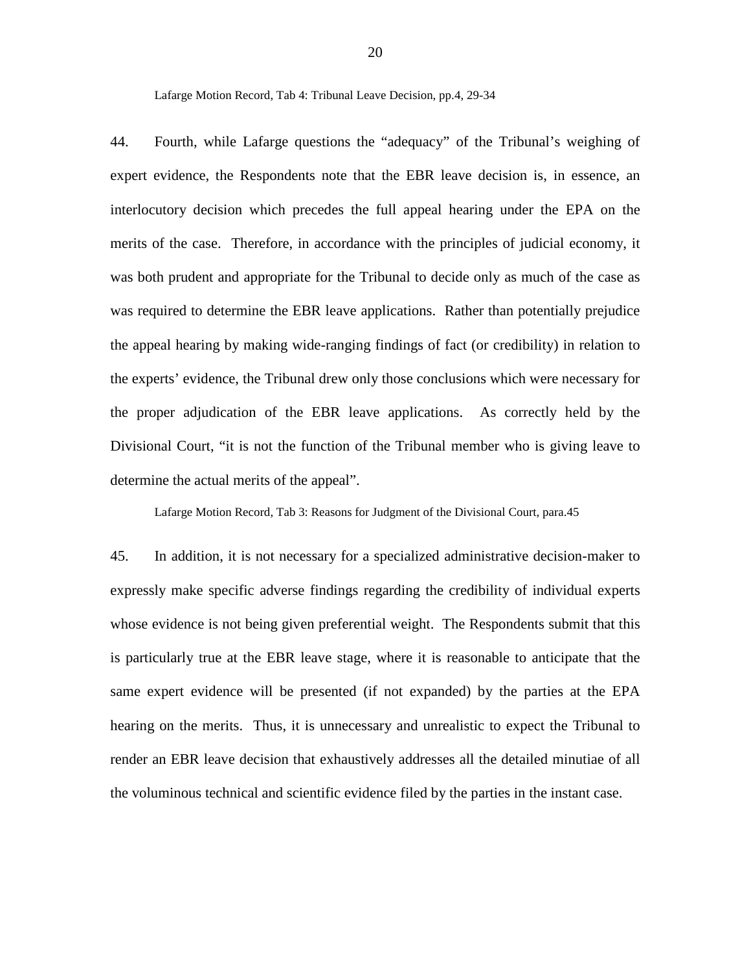Lafarge Motion Record, Tab 4: Tribunal Leave Decision, pp.4, 29-34

44. Fourth, while Lafarge questions the "adequacy" of the Tribunal's weighing of expert evidence, the Respondents note that the EBR leave decision is, in essence, an interlocutory decision which precedes the full appeal hearing under the EPA on the merits of the case. Therefore, in accordance with the principles of judicial economy, it was both prudent and appropriate for the Tribunal to decide only as much of the case as was required to determine the EBR leave applications. Rather than potentially prejudice the appeal hearing by making wide-ranging findings of fact (or credibility) in relation to the experts' evidence, the Tribunal drew only those conclusions which were necessary for the proper adjudication of the EBR leave applications. As correctly held by the Divisional Court, "it is not the function of the Tribunal member who is giving leave to determine the actual merits of the appeal".

Lafarge Motion Record, Tab 3: Reasons for Judgment of the Divisional Court, para.45

45. In addition, it is not necessary for a specialized administrative decision-maker to expressly make specific adverse findings regarding the credibility of individual experts whose evidence is not being given preferential weight. The Respondents submit that this is particularly true at the EBR leave stage, where it is reasonable to anticipate that the same expert evidence will be presented (if not expanded) by the parties at the EPA hearing on the merits. Thus, it is unnecessary and unrealistic to expect the Tribunal to render an EBR leave decision that exhaustively addresses all the detailed minutiae of all the voluminous technical and scientific evidence filed by the parties in the instant case.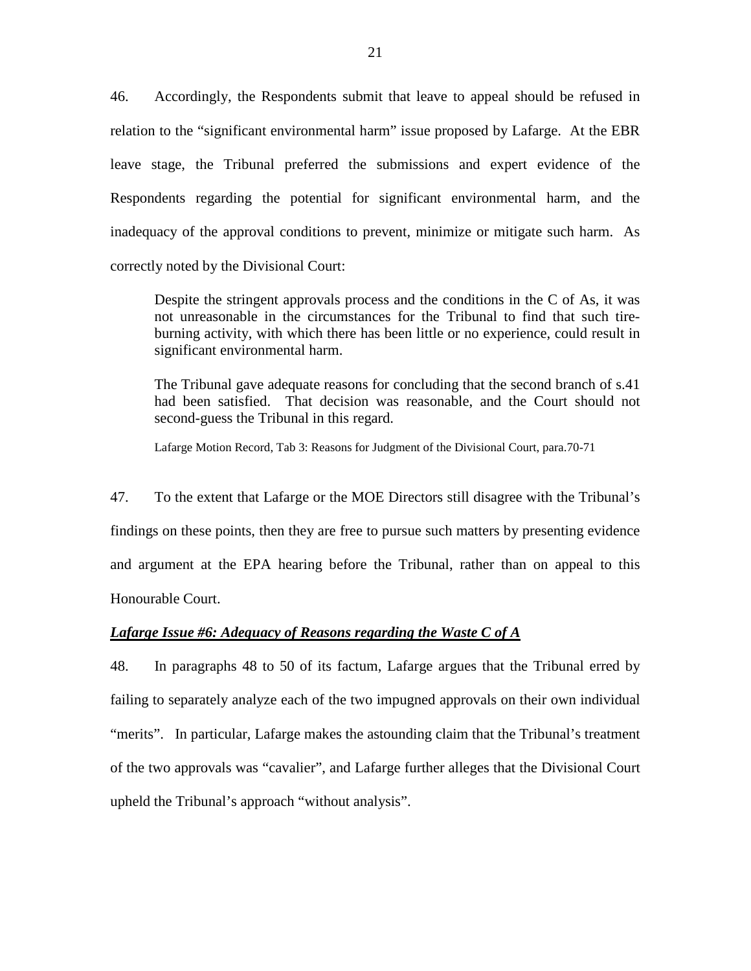46. Accordingly, the Respondents submit that leave to appeal should be refused in relation to the "significant environmental harm" issue proposed by Lafarge. At the EBR leave stage, the Tribunal preferred the submissions and expert evidence of the Respondents regarding the potential for significant environmental harm, and the inadequacy of the approval conditions to prevent, minimize or mitigate such harm. As correctly noted by the Divisional Court:

Despite the stringent approvals process and the conditions in the C of As, it was not unreasonable in the circumstances for the Tribunal to find that such tireburning activity, with which there has been little or no experience, could result in significant environmental harm.

The Tribunal gave adequate reasons for concluding that the second branch of s.41 had been satisfied. That decision was reasonable, and the Court should not second-guess the Tribunal in this regard.

Lafarge Motion Record, Tab 3: Reasons for Judgment of the Divisional Court, para.70-71

47. To the extent that Lafarge or the MOE Directors still disagree with the Tribunal's findings on these points, then they are free to pursue such matters by presenting evidence and argument at the EPA hearing before the Tribunal, rather than on appeal to this Honourable Court.

## *Lafarge Issue #6: Adequacy of Reasons regarding the Waste C of A*

48. In paragraphs 48 to 50 of its factum, Lafarge argues that the Tribunal erred by failing to separately analyze each of the two impugned approvals on their own individual "merits". In particular, Lafarge makes the astounding claim that the Tribunal's treatment of the two approvals was "cavalier", and Lafarge further alleges that the Divisional Court upheld the Tribunal's approach "without analysis".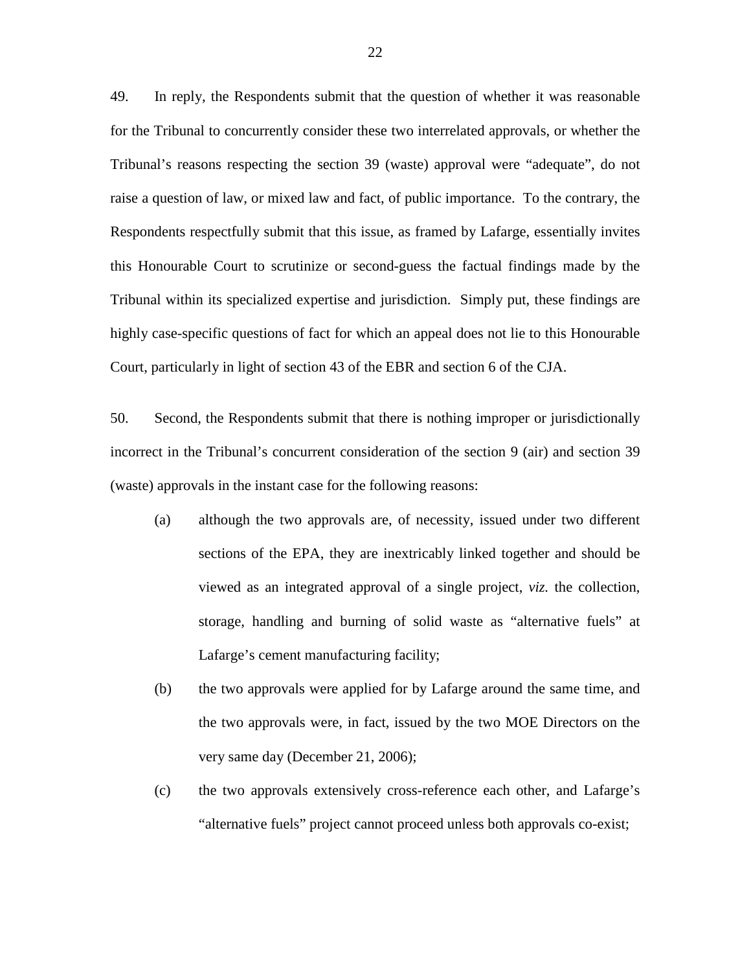49. In reply, the Respondents submit that the question of whether it was reasonable for the Tribunal to concurrently consider these two interrelated approvals, or whether the Tribunal's reasons respecting the section 39 (waste) approval were "adequate", do not raise a question of law, or mixed law and fact, of public importance. To the contrary, the Respondents respectfully submit that this issue, as framed by Lafarge, essentially invites this Honourable Court to scrutinize or second-guess the factual findings made by the Tribunal within its specialized expertise and jurisdiction. Simply put, these findings are highly case-specific questions of fact for which an appeal does not lie to this Honourable Court, particularly in light of section 43 of the EBR and section 6 of the CJA.

50. Second, the Respondents submit that there is nothing improper or jurisdictionally incorrect in the Tribunal's concurrent consideration of the section 9 (air) and section 39 (waste) approvals in the instant case for the following reasons:

- (a) although the two approvals are, of necessity, issued under two different sections of the EPA, they are inextricably linked together and should be viewed as an integrated approval of a single project, *viz.* the collection, storage, handling and burning of solid waste as "alternative fuels" at Lafarge's cement manufacturing facility;
- (b) the two approvals were applied for by Lafarge around the same time, and the two approvals were, in fact, issued by the two MOE Directors on the very same day (December 21, 2006);
- (c) the two approvals extensively cross-reference each other, and Lafarge's "alternative fuels" project cannot proceed unless both approvals co-exist;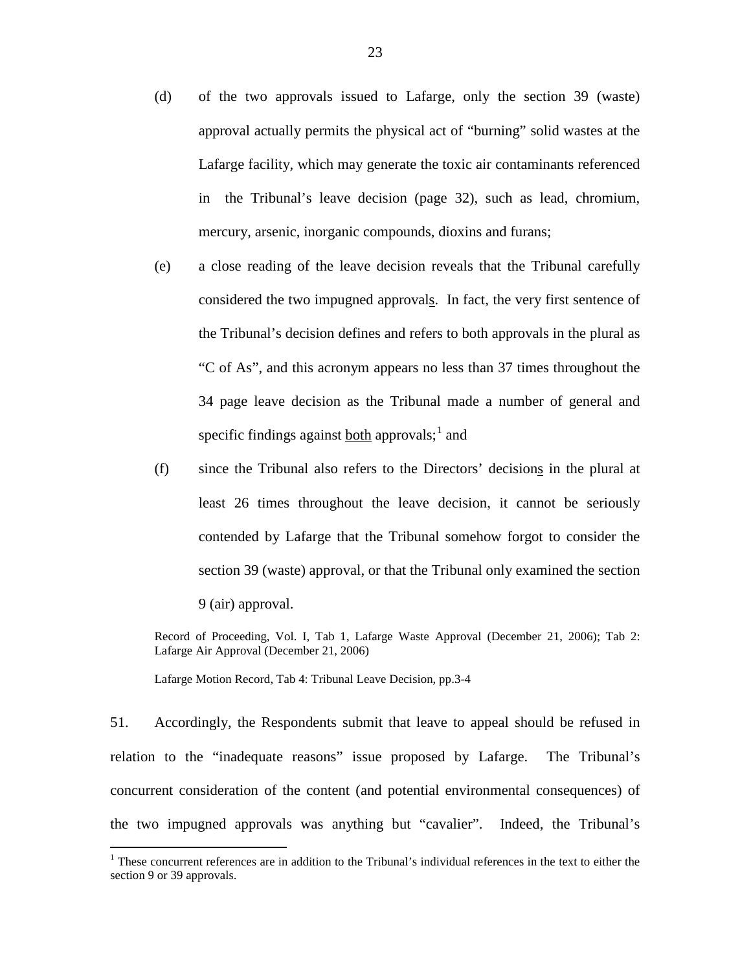- (d) of the two approvals issued to Lafarge, only the section 39 (waste) approval actually permits the physical act of "burning" solid wastes at the Lafarge facility, which may generate the toxic air contaminants referenced in the Tribunal's leave decision (page 32), such as lead, chromium, mercury, arsenic, inorganic compounds, dioxins and furans;
- (e) a close reading of the leave decision reveals that the Tribunal carefully considered the two impugned approvals. In fact, the very first sentence of the Tribunal's decision defines and refers to both approvals in the plural as "C of As", and this acronym appears no less than 37 times throughout the 34 page leave decision as the Tribunal made a number of general and specific findings against **both** approvals;<sup>[1](#page-22-0)</sup> and
- (f) since the Tribunal also refers to the Directors' decisions in the plural at least 26 times throughout the leave decision, it cannot be seriously contended by Lafarge that the Tribunal somehow forgot to consider the section 39 (waste) approval, or that the Tribunal only examined the section 9 (air) approval.

Record of Proceeding, Vol. I, Tab 1, Lafarge Waste Approval (December 21, 2006); Tab 2: Lafarge Air Approval (December 21, 2006)

Lafarge Motion Record, Tab 4: Tribunal Leave Decision, pp.3-4

51. Accordingly, the Respondents submit that leave to appeal should be refused in relation to the "inadequate reasons" issue proposed by Lafarge. The Tribunal's concurrent consideration of the content (and potential environmental consequences) of the two impugned approvals was anything but "cavalier". Indeed, the Tribunal's

<span id="page-22-0"></span><sup>&</sup>lt;sup>1</sup> These concurrent references are in addition to the Tribunal's individual references in the text to either the section 9 or 39 approvals.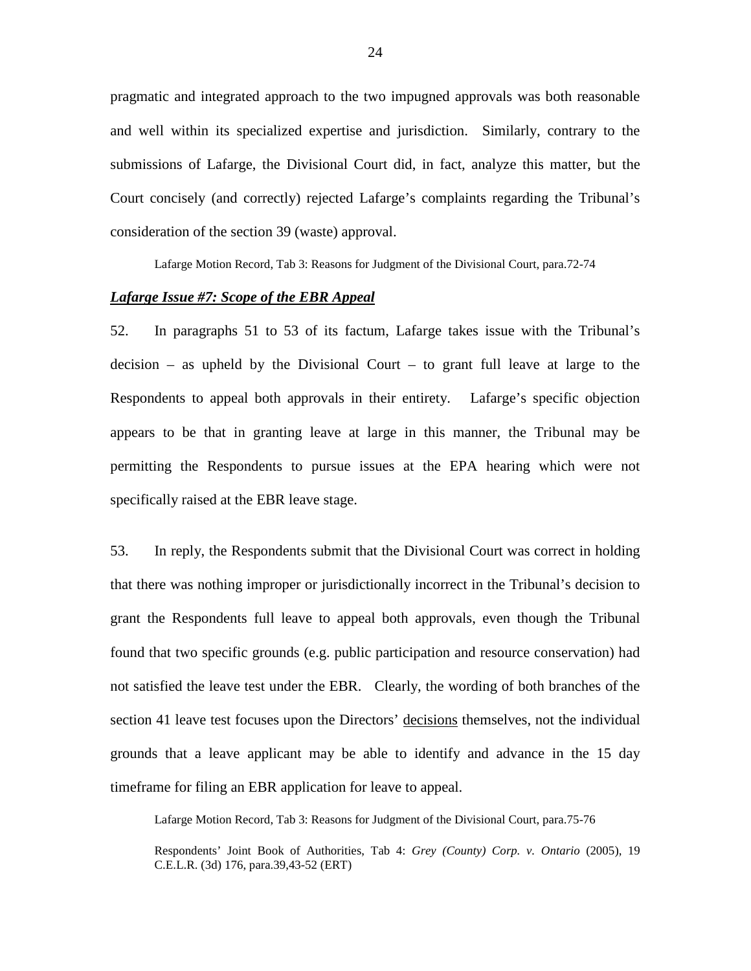pragmatic and integrated approach to the two impugned approvals was both reasonable and well within its specialized expertise and jurisdiction. Similarly, contrary to the submissions of Lafarge, the Divisional Court did, in fact, analyze this matter, but the Court concisely (and correctly) rejected Lafarge's complaints regarding the Tribunal's consideration of the section 39 (waste) approval.

Lafarge Motion Record, Tab 3: Reasons for Judgment of the Divisional Court, para.72-74

# *Lafarge Issue #7: Scope of the EBR Appeal*

52. In paragraphs 51 to 53 of its factum, Lafarge takes issue with the Tribunal's  $decision - as$  upheld by the Divisional Court – to grant full leave at large to the Respondents to appeal both approvals in their entirety. Lafarge's specific objection appears to be that in granting leave at large in this manner, the Tribunal may be permitting the Respondents to pursue issues at the EPA hearing which were not specifically raised at the EBR leave stage.

53. In reply, the Respondents submit that the Divisional Court was correct in holding that there was nothing improper or jurisdictionally incorrect in the Tribunal's decision to grant the Respondents full leave to appeal both approvals, even though the Tribunal found that two specific grounds (e.g. public participation and resource conservation) had not satisfied the leave test under the EBR. Clearly, the wording of both branches of the section 41 leave test focuses upon the Directors' decisions themselves, not the individual grounds that a leave applicant may be able to identify and advance in the 15 day timeframe for filing an EBR application for leave to appeal.

Lafarge Motion Record, Tab 3: Reasons for Judgment of the Divisional Court, para.75-76

Respondents' Joint Book of Authorities, Tab 4: *Grey (County) Corp. v. Ontario* (2005), 19 C.E.L.R. (3d) 176, para.39,43-52 (ERT)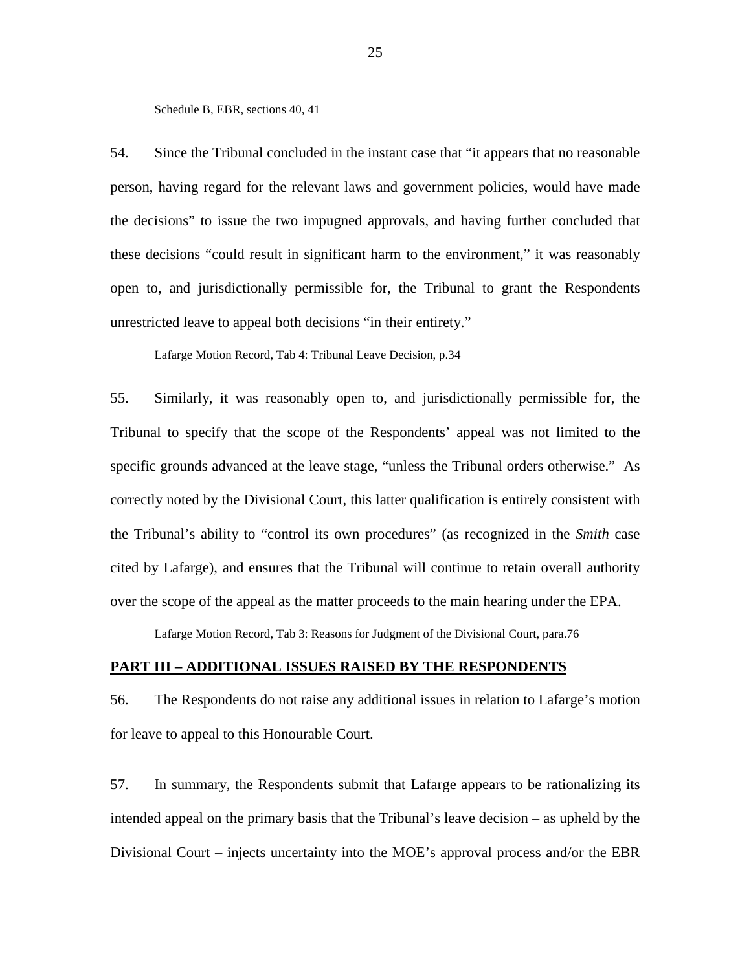Schedule B, EBR, sections 40, 41

54. Since the Tribunal concluded in the instant case that "it appears that no reasonable person, having regard for the relevant laws and government policies, would have made the decisions" to issue the two impugned approvals, and having further concluded that these decisions "could result in significant harm to the environment," it was reasonably open to, and jurisdictionally permissible for, the Tribunal to grant the Respondents unrestricted leave to appeal both decisions "in their entirety."

Lafarge Motion Record, Tab 4: Tribunal Leave Decision, p.34

55. Similarly, it was reasonably open to, and jurisdictionally permissible for, the Tribunal to specify that the scope of the Respondents' appeal was not limited to the specific grounds advanced at the leave stage, "unless the Tribunal orders otherwise." As correctly noted by the Divisional Court, this latter qualification is entirely consistent with the Tribunal's ability to "control its own procedures" (as recognized in the *Smith* case cited by Lafarge), and ensures that the Tribunal will continue to retain overall authority over the scope of the appeal as the matter proceeds to the main hearing under the EPA.

Lafarge Motion Record, Tab 3: Reasons for Judgment of the Divisional Court, para.76

#### **PART III – ADDITIONAL ISSUES RAISED BY THE RESPONDENTS**

56. The Respondents do not raise any additional issues in relation to Lafarge's motion for leave to appeal to this Honourable Court.

57. In summary, the Respondents submit that Lafarge appears to be rationalizing its intended appeal on the primary basis that the Tribunal's leave decision – as upheld by the Divisional Court – injects uncertainty into the MOE's approval process and/or the EBR